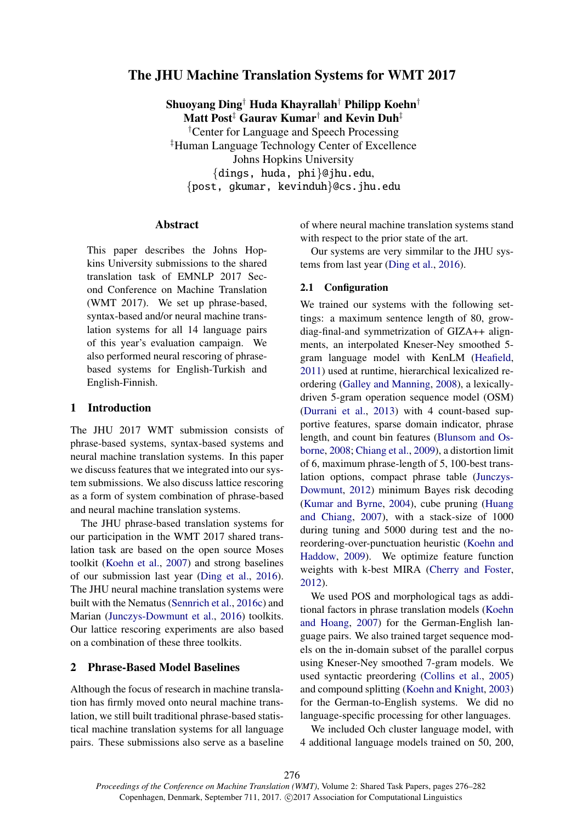# The JHU Machine Translation Systems for WMT 2017

Shuoyang Ding† Huda Khayrallah† Philipp Koehn† Matt Post<sup>‡</sup> Gaurav Kumar<sup>†</sup> and Kevin Duh<sup>‡</sup> †Center for Language and Speech Processing ‡Human Language Technology Center of Excellence Johns Hopkins University {dings, huda, phi}@jhu.edu, {post, gkumar, kevinduh}@cs.jhu.edu

## Abstract

This paper describes the Johns Hopkins University submissions to the shared translation task of EMNLP 2017 Second Conference on Machine Translation (WMT 2017). We set up phrase-based, syntax-based and/or neural machine translation systems for all 14 language pairs of this year's evaluation campaign. We also performed neural rescoring of phrasebased systems for English-Turkish and English-Finnish.

### 1 Introduction

The JHU 2017 WMT submission consists of phrase-based systems, syntax-based systems and neural machine translation systems. In this paper we discuss features that we integrated into our system submissions. We also discuss lattice rescoring as a form of system combination of phrase-based and neural machine translation systems.

The JHU phrase-based translation systems for our participation in the WMT 2017 shared translation task are based on the open source Moses toolkit (Koehn et al., 2007) and strong baselines of our submission last year (Ding et al., 2016). The JHU neural machine translation systems were built with the Nematus (Sennrich et al., 2016c) and Marian (Junczys-Dowmunt et al., 2016) toolkits. Our lattice rescoring experiments are also based on a combination of these three toolkits.

# 2 Phrase-Based Model Baselines

Although the focus of research in machine translation has firmly moved onto neural machine translation, we still built traditional phrase-based statistical machine translation systems for all language pairs. These submissions also serve as a baseline of where neural machine translation systems stand with respect to the prior state of the art.

Our systems are very simmilar to the JHU systems from last year (Ding et al., 2016).

#### 2.1 Configuration

We trained our systems with the following settings: a maximum sentence length of 80, growdiag-final-and symmetrization of GIZA++ alignments, an interpolated Kneser-Ney smoothed 5 gram language model with KenLM (Heafield, 2011) used at runtime, hierarchical lexicalized reordering (Galley and Manning, 2008), a lexicallydriven 5-gram operation sequence model (OSM) (Durrani et al., 2013) with 4 count-based supportive features, sparse domain indicator, phrase length, and count bin features (Blunsom and Osborne, 2008; Chiang et al., 2009), a distortion limit of 6, maximum phrase-length of 5, 100-best translation options, compact phrase table (Junczys-Dowmunt, 2012) minimum Bayes risk decoding (Kumar and Byrne, 2004), cube pruning (Huang and Chiang, 2007), with a stack-size of 1000 during tuning and 5000 during test and the noreordering-over-punctuation heuristic (Koehn and Haddow, 2009). We optimize feature function weights with k-best MIRA (Cherry and Foster, 2012).

We used POS and morphological tags as additional factors in phrase translation models (Koehn and Hoang, 2007) for the German-English language pairs. We also trained target sequence models on the in-domain subset of the parallel corpus using Kneser-Ney smoothed 7-gram models. We used syntactic preordering (Collins et al., 2005) and compound splitting (Koehn and Knight, 2003) for the German-to-English systems. We did no language-specific processing for other languages.

We included Och cluster language model, with 4 additional language models trained on 50, 200,

276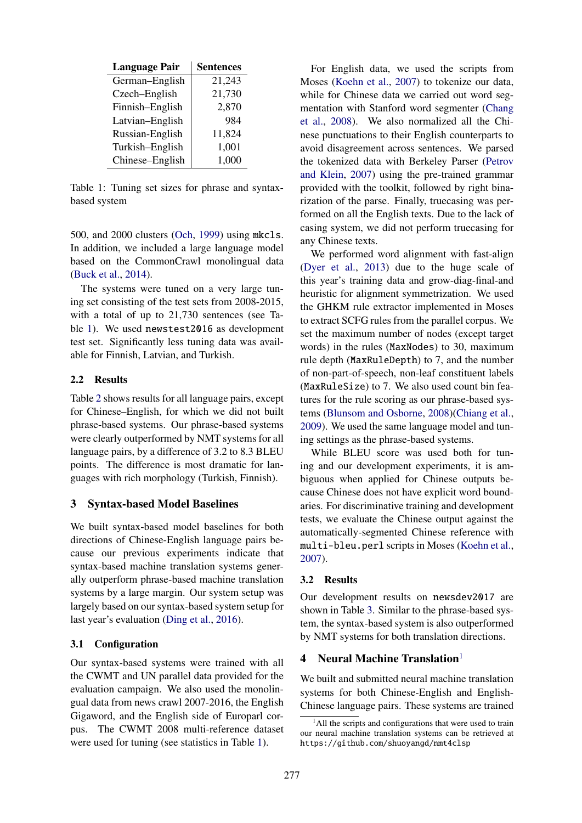| <b>Language Pair</b> | <b>Sentences</b> |
|----------------------|------------------|
| German-English       | 21,243           |
| Czech-English        | 21,730           |
| Finnish-English      | 2,870            |
| Latvian-English      | 984              |
| Russian-English      | 11,824           |
| Turkish-English      | 1,001            |
| Chinese-English      | 1,000            |

Table 1: Tuning set sizes for phrase and syntaxbased system

500, and 2000 clusters (Och, 1999) using mkcls. In addition, we included a large language model based on the CommonCrawl monolingual data (Buck et al., 2014).

The systems were tuned on a very large tuning set consisting of the test sets from 2008-2015, with a total of up to 21,730 sentences (see Table 1). We used newstest2016 as development test set. Significantly less tuning data was available for Finnish, Latvian, and Turkish.

### 2.2 Results

Table 2 shows results for all language pairs, except for Chinese–English, for which we did not built phrase-based systems. Our phrase-based systems were clearly outperformed by NMT systems for all language pairs, by a difference of 3.2 to 8.3 BLEU points. The difference is most dramatic for languages with rich morphology (Turkish, Finnish).

# 3 Syntax-based Model Baselines

We built syntax-based model baselines for both directions of Chinese-English language pairs because our previous experiments indicate that syntax-based machine translation systems generally outperform phrase-based machine translation systems by a large margin. Our system setup was largely based on our syntax-based system setup for last year's evaluation (Ding et al., 2016).

#### 3.1 Configuration

Our syntax-based systems were trained with all the CWMT and UN parallel data provided for the evaluation campaign. We also used the monolingual data from news crawl 2007-2016, the English Gigaword, and the English side of Europarl corpus. The CWMT 2008 multi-reference dataset were used for tuning (see statistics in Table 1).

For English data, we used the scripts from Moses (Koehn et al., 2007) to tokenize our data, while for Chinese data we carried out word segmentation with Stanford word segmenter (Chang et al., 2008). We also normalized all the Chinese punctuations to their English counterparts to avoid disagreement across sentences. We parsed the tokenized data with Berkeley Parser (Petrov and Klein, 2007) using the pre-trained grammar provided with the toolkit, followed by right binarization of the parse. Finally, truecasing was performed on all the English texts. Due to the lack of casing system, we did not perform truecasing for any Chinese texts.

We performed word alignment with fast-align (Dyer et al., 2013) due to the huge scale of this year's training data and grow-diag-final-and heuristic for alignment symmetrization. We used the GHKM rule extractor implemented in Moses to extract SCFG rules from the parallel corpus. We set the maximum number of nodes (except target words) in the rules (MaxNodes) to 30, maximum rule depth (MaxRuleDepth) to 7, and the number of non-part-of-speech, non-leaf constituent labels (MaxRuleSize) to 7. We also used count bin features for the rule scoring as our phrase-based systems (Blunsom and Osborne, 2008)(Chiang et al., 2009). We used the same language model and tuning settings as the phrase-based systems.

While BLEU score was used both for tuning and our development experiments, it is ambiguous when applied for Chinese outputs because Chinese does not have explicit word boundaries. For discriminative training and development tests, we evaluate the Chinese output against the automatically-segmented Chinese reference with multi-bleu.perl scripts in Moses (Koehn et al., 2007).

#### 3.2 Results

Our development results on newsdev2017 are shown in Table 3. Similar to the phrase-based system, the syntax-based system is also outperformed by NMT systems for both translation directions.

### 4 Neural Machine Translation<sup>1</sup>

We built and submitted neural machine translation systems for both Chinese-English and English-Chinese language pairs. These systems are trained

 $<sup>1</sup>$ All the scripts and configurations that were used to train</sup> our neural machine translation systems can be retrieved at https://github.com/shuoyangd/nmt4clsp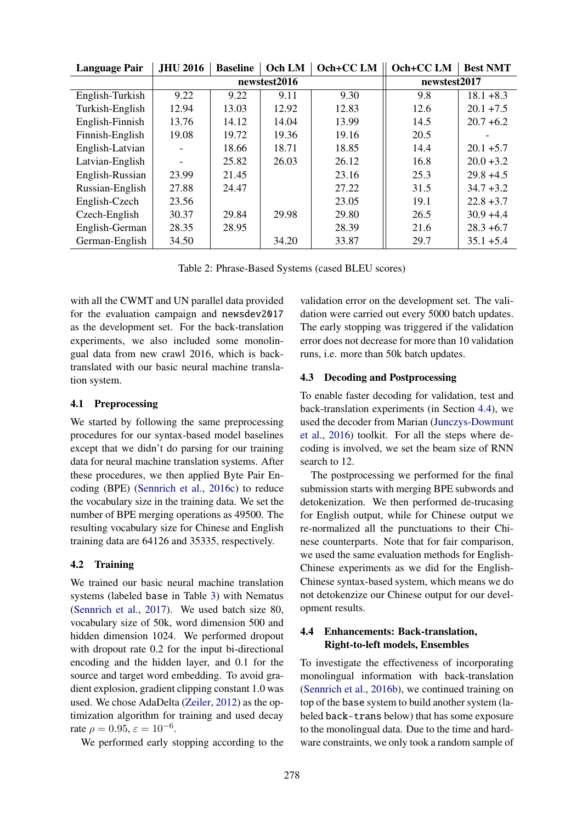| <b>Language Pair</b> | <b>JHU 2016</b> | <b>Baseline</b> | Och LM | Och+CC LM    | Och+CC LM | <b>Best NMT</b> |
|----------------------|-----------------|-----------------|--------|--------------|-----------|-----------------|
|                      |                 | newstest2016    |        | newstest2017 |           |                 |
| English-Turkish      | 9.22            | 9.22            | 9.11   | 9.30         | 9.8       | $18.1 + 8.3$    |
| Turkish-English      | 12.94           | 13.03           | 12.92  | 12.83        | 12.6      | $20.1 + 7.5$    |
| English-Finnish      | 13.76           | 14.12           | 14.04  | 13.99        | 14.5      | $20.7 + 6.2$    |
| Finnish-English      | 19.08           | 19.72           | 19.36  | 19.16        | 20.5      |                 |
| English-Latvian      |                 | 18.66           | 18.71  | 18.85        | 14.4      | $20.1 + 5.7$    |
| Latvian-English      |                 | 25.82           | 26.03  | 26.12        | 16.8      | $20.0 + 3.2$    |
| English-Russian      | 23.99           | 21.45           |        | 23.16        | 25.3      | $29.8 + 4.5$    |
| Russian-English      | 27.88           | 24.47           |        | 27.22        | 31.5      | $34.7 + 3.2$    |
| English-Czech        | 23.56           |                 |        | 23.05        | 19.1      | $22.8 + 3.7$    |
| Czech-English        | 30.37           | 29.84           | 29.98  | 29.80        | 26.5      | $30.9 + 4.4$    |
| English-German       | 28.35           | 28.95           |        | 28.39        | 21.6      | $28.3 + 6.7$    |
| German-English       | 34.50           |                 | 34.20  | 33.87        | 29.7      | $35.1 + 5.4$    |

Table 2: Phrase-Based Systems (cased BLEU scores)

with all the CWMT and UN parallel data provided for the evaluation campaign and newsdev2017 as the development set. For the back-translation experiments, we also included some monolingual data from new crawl 2016, which is backtranslated with our basic neural machine translation system.

#### 4.1 Preprocessing

We started by following the same preprocessing procedures for our syntax-based model baselines except that we didn't do parsing for our training data for neural machine translation systems. After these procedures, we then applied Byte Pair Encoding (BPE) (Sennrich et al., 2016c) to reduce the vocabulary size in the training data. We set the number of BPE merging operations as 49500. The resulting vocabulary size for Chinese and English training data are 64126 and 35335, respectively.

# 4.2 Training

We trained our basic neural machine translation systems (labeled base in Table 3) with Nematus (Sennrich et al., 2017). We used batch size 80, vocabulary size of 50k, word dimension 500 and hidden dimension 1024. We performed dropout with dropout rate 0.2 for the input bi-directional encoding and the hidden layer, and 0.1 for the source and target word embedding. To avoid gradient explosion, gradient clipping constant 1.0 was used. We chose AdaDelta (Zeiler, 2012) as the optimization algorithm for training and used decay rate  $\rho = 0.95$ ,  $\varepsilon = 10^{-6}$ .

We performed early stopping according to the

validation error on the development set. The validation were carried out every 5000 batch updates. The early stopping was triggered if the validation error does not decrease for more than 10 validation runs, i.e. more than 50k batch updates.

# 4.3 Decoding and Postprocessing

To enable faster decoding for validation, test and back-translation experiments (in Section 4.4), we used the decoder from Marian (Junczys-Dowmunt et al., 2016) toolkit. For all the steps where decoding is involved, we set the beam size of RNN search to 12.

The postprocessing we performed for the final submission starts with merging BPE subwords and detokenization. We then performed de-trucasing for English output, while for Chinese output we re-normalized all the punctuations to their Chinese counterparts. Note that for fair comparison, we used the same evaluation methods for English-Chinese experiments as we did for the English-Chinese syntax-based system, which means we do not detokenzize our Chinese output for our development results.

# 4.4 Enhancements: Back-translation, Right-to-left models, Ensembles

To investigate the effectiveness of incorporating monolingual information with back-translation (Sennrich et al., 2016b), we continued training on top of the base system to build another system (labeled back-trans below) that has some exposure to the monolingual data. Due to the time and hardware constraints, we only took a random sample of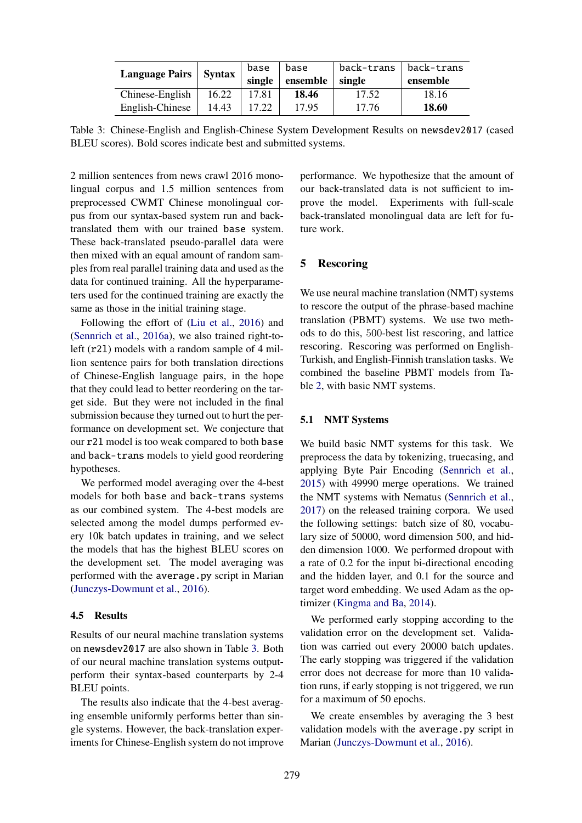| <b>Language Pairs</b> | Syntax | base<br>single | base<br>ensemble | back-trans<br>single | back-trans  <br>ensemble |
|-----------------------|--------|----------------|------------------|----------------------|--------------------------|
| Chinese-English       | 16.22  | 17.81          | 18.46            | 17.52                | 18.16                    |
| English-Chinese       | 14.43  | 17.22          | 17.95            | 17.76                | 18.60                    |

Table 3: Chinese-English and English-Chinese System Development Results on newsdev2017 (cased BLEU scores). Bold scores indicate best and submitted systems.

2 million sentences from news crawl 2016 monolingual corpus and 1.5 million sentences from preprocessed CWMT Chinese monolingual corpus from our syntax-based system run and backtranslated them with our trained base system. These back-translated pseudo-parallel data were then mixed with an equal amount of random samples from real parallel training data and used as the data for continued training. All the hyperparameters used for the continued training are exactly the same as those in the initial training stage.

Following the effort of (Liu et al., 2016) and (Sennrich et al., 2016a), we also trained right-toleft (r2l) models with a random sample of 4 million sentence pairs for both translation directions of Chinese-English language pairs, in the hope that they could lead to better reordering on the target side. But they were not included in the final submission because they turned out to hurt the performance on development set. We conjecture that our r2l model is too weak compared to both base and back-trans models to yield good reordering hypotheses.

We performed model averaging over the 4-best models for both base and back-trans systems as our combined system. The 4-best models are selected among the model dumps performed every 10k batch updates in training, and we select the models that has the highest BLEU scores on the development set. The model averaging was performed with the average.py script in Marian (Junczys-Dowmunt et al., 2016).

## 4.5 Results

Results of our neural machine translation systems on newsdev2017 are also shown in Table 3. Both of our neural machine translation systems outputperform their syntax-based counterparts by 2-4 BLEU points.

The results also indicate that the 4-best averaging ensemble uniformly performs better than single systems. However, the back-translation experiments for Chinese-English system do not improve performance. We hypothesize that the amount of our back-translated data is not sufficient to improve the model. Experiments with full-scale back-translated monolingual data are left for future work.

# 5 Rescoring

We use neural machine translation (NMT) systems to rescore the output of the phrase-based machine translation (PBMT) systems. We use two methods to do this, 500-best list rescoring, and lattice rescoring. Rescoring was performed on English-Turkish, and English-Finnish translation tasks. We combined the baseline PBMT models from Table 2, with basic NMT systems.

#### 5.1 NMT Systems

We build basic NMT systems for this task. We preprocess the data by tokenizing, truecasing, and applying Byte Pair Encoding (Sennrich et al., 2015) with 49990 merge operations. We trained the NMT systems with Nematus (Sennrich et al., 2017) on the released training corpora. We used the following settings: batch size of 80, vocabulary size of 50000, word dimension 500, and hidden dimension 1000. We performed dropout with a rate of 0.2 for the input bi-directional encoding and the hidden layer, and 0.1 for the source and target word embedding. We used Adam as the optimizer (Kingma and Ba, 2014).

We performed early stopping according to the validation error on the development set. Validation was carried out every 20000 batch updates. The early stopping was triggered if the validation error does not decrease for more than 10 validation runs, if early stopping is not triggered, we run for a maximum of 50 epochs.

We create ensembles by averaging the 3 best validation models with the average.py script in Marian (Junczys-Dowmunt et al., 2016).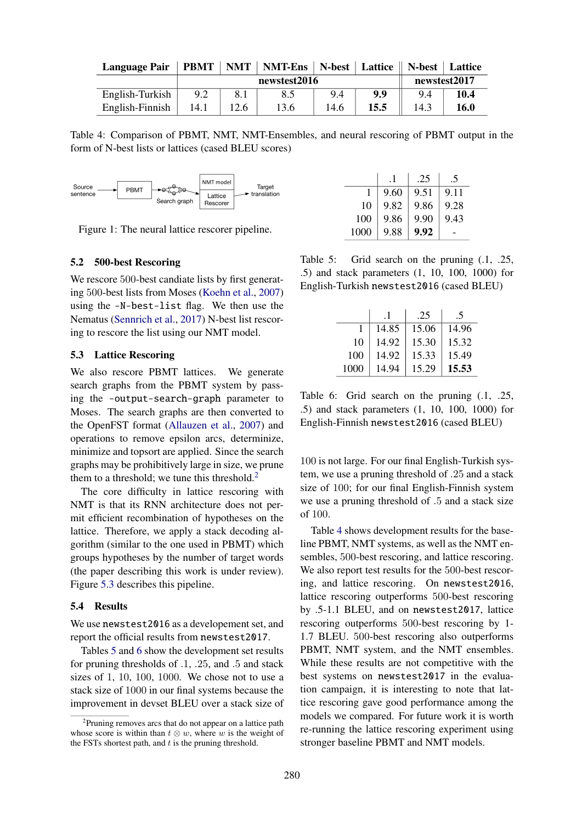| Language Pair   PBMT   NMT   NMT-Ens   N-best   Lattice    N-best   Lattice |  |  |  |  |  |  |  |
|-----------------------------------------------------------------------------|--|--|--|--|--|--|--|
|-----------------------------------------------------------------------------|--|--|--|--|--|--|--|

|                 |      | newstest2016 |      | newstest2017 |          |      |      |
|-----------------|------|--------------|------|--------------|----------|------|------|
| English-Turkish |      |              | 8.5  |              | $\bf{0}$ |      | 10.4 |
| English-Finnish | 14.1 |              | 13.6 | 14.6         | 15.5     | 14.5 | 16.0 |

Table 4: Comparison of PBMT, NMT, NMT-Ensembles, and neural rescoring of PBMT output in the form of N-best lists or lattices (cased BLEU scores)



Figure 1: The neural lattice rescorer pipeline.

#### 5.2 500-best Rescoring

We rescore 500-best candiate lists by first generating 500-best lists from Moses (Koehn et al., 2007) using the -N-best-list flag. We then use the Nematus (Sennrich et al., 2017) N-best list rescoring to rescore the list using our NMT model.

#### 5.3 Lattice Rescoring

We also rescore PBMT lattices. We generate search graphs from the PBMT system by passing the -output-search-graph parameter to Moses. The search graphs are then converted to the OpenFST format (Allauzen et al., 2007) and operations to remove epsilon arcs, determinize, minimize and topsort are applied. Since the search graphs may be prohibitively large in size, we prune them to a threshold; we tune this threshold. $<sup>2</sup>$ </sup>

The core difficulty in lattice rescoring with NMT is that its RNN architecture does not permit efficient recombination of hypotheses on the lattice. Therefore, we apply a stack decoding algorithm (similar to the one used in PBMT) which groups hypotheses by the number of target words (the paper describing this work is under review). Figure 5.3 describes this pipeline.

#### 5.4 Results

We use newstest2016 as a developement set, and report the official results from newstest2017.

Tables 5 and 6 show the development set results for pruning thresholds of .1, .25, and .5 and stack sizes of 1, 10, 100, 1000. We chose not to use a stack size of 1000 in our final systems because the improvement in devset BLEU over a stack size of

|      |      | .25  |      |
|------|------|------|------|
|      | 9.60 | 9.51 | 9.11 |
| 10   | 9.82 | 9.86 | 9.28 |
| 100  | 9.86 | 9.90 | 9.43 |
| 1000 | 9.88 | 9.92 |      |

Table 5: Grid search on the pruning  $(0.1, 0.25)$ , .5) and stack parameters (1, 10, 100, 1000) for English-Turkish newstest2016 (cased BLEU)

|      | . 1   | .25   | .5    |
|------|-------|-------|-------|
|      | 14.85 | 15.06 | 14.96 |
| 10   | 14.92 | 15.30 | 15.32 |
| 100  | 14.92 | 15.33 | 15.49 |
| 1000 | 14.94 | 15.29 | 15.53 |

Table 6: Grid search on the pruning (.1, .25, .5) and stack parameters (1, 10, 100, 1000) for English-Finnish newstest2016 (cased BLEU)

100 is not large. For our final English-Turkish system, we use a pruning threshold of .25 and a stack size of 100; for our final English-Finnish system we use a pruning threshold of .5 and a stack size of 100.

Table 4 shows development results for the baseline PBMT, NMT systems, as well as the NMT ensembles, 500-best rescoring, and lattice rescoring. We also report test results for the 500-best rescoring, and lattice rescoring. On newstest2016, lattice rescoring outperforms 500-best rescoring by .5-1.1 BLEU, and on newstest2017, lattice rescoring outperforms 500-best rescoring by 1- 1.7 BLEU. 500-best rescoring also outperforms PBMT, NMT system, and the NMT ensembles. While these results are not competitive with the best systems on newstest2017 in the evaluation campaign, it is interesting to note that lattice rescoring gave good performance among the models we compared. For future work it is worth re-running the lattice rescoring experiment using stronger baseline PBMT and NMT models.

<sup>&</sup>lt;sup>2</sup>Pruning removes arcs that do not appear on a lattice path whose score is within than  $t \otimes w$ , where w is the weight of the FSTs shortest path, and  $t$  is the pruning threshold.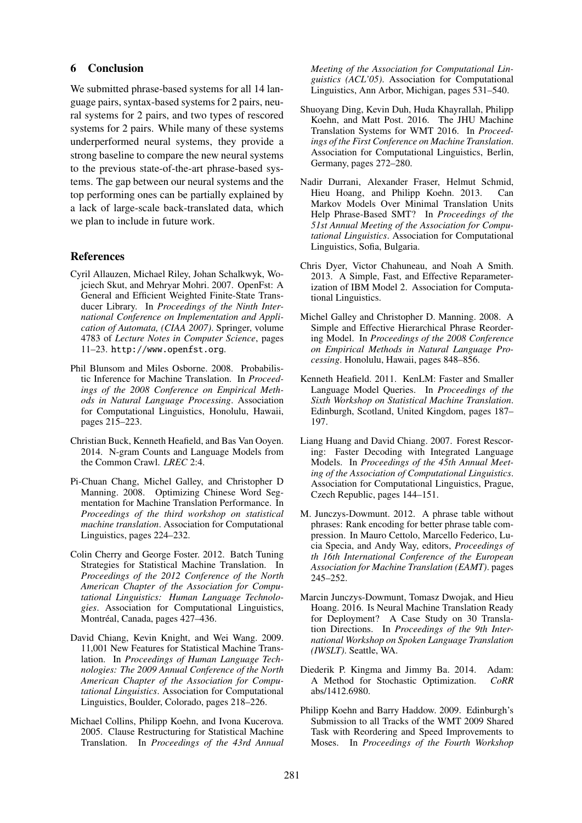#### 6 Conclusion

We submitted phrase-based systems for all 14 language pairs, syntax-based systems for 2 pairs, neural systems for 2 pairs, and two types of rescored systems for 2 pairs. While many of these systems underperformed neural systems, they provide a strong baseline to compare the new neural systems to the previous state-of-the-art phrase-based systems. The gap between our neural systems and the top performing ones can be partially explained by a lack of large-scale back-translated data, which we plan to include in future work.

# References

- Cyril Allauzen, Michael Riley, Johan Schalkwyk, Wojciech Skut, and Mehryar Mohri. 2007. OpenFst: A General and Efficient Weighted Finite-State Transducer Library. In *Proceedings of the Ninth International Conference on Implementation and Application of Automata, (CIAA 2007)*. Springer, volume 4783 of *Lecture Notes in Computer Science*, pages 11–23. http://www.openfst.org.
- Phil Blunsom and Miles Osborne. 2008. Probabilistic Inference for Machine Translation. In *Proceedings of the 2008 Conference on Empirical Methods in Natural Language Processing*. Association for Computational Linguistics, Honolulu, Hawaii, pages 215–223.
- Christian Buck, Kenneth Heafield, and Bas Van Ooyen. 2014. N-gram Counts and Language Models from the Common Crawl. *LREC* 2:4.
- Pi-Chuan Chang, Michel Galley, and Christopher D Manning. 2008. Optimizing Chinese Word Segmentation for Machine Translation Performance. In *Proceedings of the third workshop on statistical machine translation*. Association for Computational Linguistics, pages 224–232.
- Colin Cherry and George Foster. 2012. Batch Tuning Strategies for Statistical Machine Translation. In *Proceedings of the 2012 Conference of the North American Chapter of the Association for Computational Linguistics: Human Language Technologies*. Association for Computational Linguistics, Montréal, Canada, pages 427-436.
- David Chiang, Kevin Knight, and Wei Wang. 2009. 11,001 New Features for Statistical Machine Translation. In *Proceedings of Human Language Technologies: The 2009 Annual Conference of the North American Chapter of the Association for Computational Linguistics*. Association for Computational Linguistics, Boulder, Colorado, pages 218–226.
- Michael Collins, Philipp Koehn, and Ivona Kucerova. 2005. Clause Restructuring for Statistical Machine Translation. In *Proceedings of the 43rd Annual*

*Meeting of the Association for Computational Linguistics (ACL'05)*. Association for Computational Linguistics, Ann Arbor, Michigan, pages 531–540.

- Shuoyang Ding, Kevin Duh, Huda Khayrallah, Philipp Koehn, and Matt Post. 2016. The JHU Machine Translation Systems for WMT 2016. In *Proceedings of the First Conference on Machine Translation*. Association for Computational Linguistics, Berlin, Germany, pages 272–280.
- Nadir Durrani, Alexander Fraser, Helmut Schmid, Hieu Hoang, and Philipp Koehn. 2013. Can Markov Models Over Minimal Translation Units Help Phrase-Based SMT? In *Proceedings of the 51st Annual Meeting of the Association for Computational Linguistics*. Association for Computational Linguistics, Sofia, Bulgaria.
- Chris Dyer, Victor Chahuneau, and Noah A Smith. 2013. A Simple, Fast, and Effective Reparameterization of IBM Model 2. Association for Computational Linguistics.
- Michel Galley and Christopher D. Manning. 2008. A Simple and Effective Hierarchical Phrase Reordering Model. In *Proceedings of the 2008 Conference on Empirical Methods in Natural Language Processing*. Honolulu, Hawaii, pages 848–856.
- Kenneth Heafield. 2011. KenLM: Faster and Smaller Language Model Queries. In *Proceedings of the Sixth Workshop on Statistical Machine Translation*. Edinburgh, Scotland, United Kingdom, pages 187– 197.
- Liang Huang and David Chiang. 2007. Forest Rescoring: Faster Decoding with Integrated Language Models. In *Proceedings of the 45th Annual Meeting of the Association of Computational Linguistics*. Association for Computational Linguistics, Prague, Czech Republic, pages 144–151.
- M. Junczys-Dowmunt. 2012. A phrase table without phrases: Rank encoding for better phrase table compression. In Mauro Cettolo, Marcello Federico, Lucia Specia, and Andy Way, editors, *Proceedings of th 16th International Conference of the European Association for Machine Translation (EAMT)*. pages 245–252.
- Marcin Junczys-Dowmunt, Tomasz Dwojak, and Hieu Hoang. 2016. Is Neural Machine Translation Ready for Deployment? A Case Study on 30 Translation Directions. In *Proceedings of the 9th International Workshop on Spoken Language Translation (IWSLT)*. Seattle, WA.
- Diederik P. Kingma and Jimmy Ba. 2014. Adam: A Method for Stochastic Optimization. *CoRR* abs/1412.6980.
- Philipp Koehn and Barry Haddow. 2009. Edinburgh's Submission to all Tracks of the WMT 2009 Shared Task with Reordering and Speed Improvements to Moses. In *Proceedings of the Fourth Workshop*